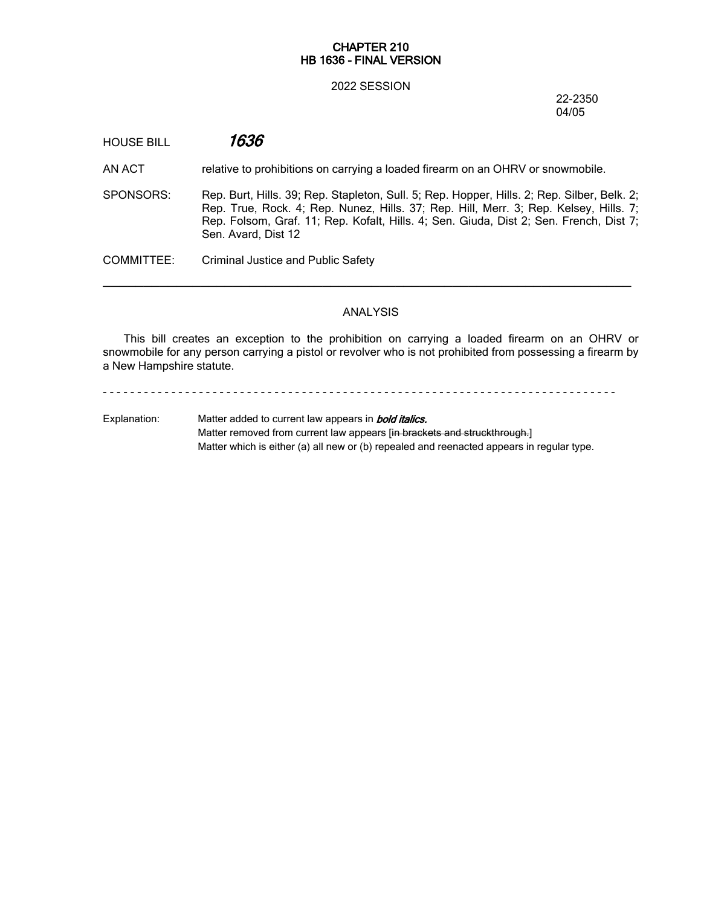## **CHAPTER 210 HB 1636 - FINAL VERSION**

#### 2022 SESSION

22-2350 04/05

HOUSE BILL *1636*

AN ACT relative to prohibitions on carrying a loaded firearm on an OHRV or snowmobile.

SPONSORS: Rep. Burt, Hills. 39; Rep. Stapleton, Sull. 5; Rep. Hopper, Hills. 2; Rep. Silber, Belk. 2; Rep. True, Rock. 4; Rep. Nunez, Hills. 37; Rep. Hill, Merr. 3; Rep. Kelsey, Hills. 7; Rep. Folsom, Graf. 11; Rep. Kofalt, Hills. 4; Sen. Giuda, Dist 2; Sen. French, Dist 7; Sen. Avard, Dist 12

COMMITTEE: Criminal Justice and Public Safety

# ANALYSIS

─────────────────────────────────────────────────────────────────

This bill creates an exception to the prohibition on carrying a loaded firearm on an OHRV or snowmobile for any person carrying a pistol or revolver who is not prohibited from possessing a firearm by a New Hampshire statute.

- - - - - - - - - - - - - - - - - - - - - - - - - - - - - - - - - - - - - - - - - - - - - - - - - - - - - - - - - - - - - - - - - - - - - - - - - - -

Explanation: Matter added to current law appears in *bold italics.* Matter removed from current law appears [in brackets and struckthrough.] Matter which is either (a) all new or (b) repealed and reenacted appears in regular type.